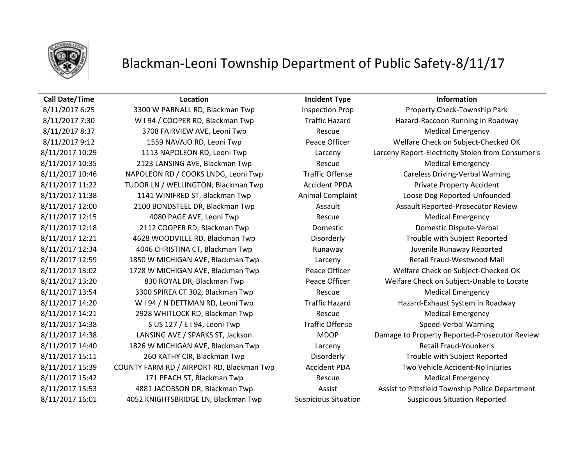

## Blackman-Leoni Township Department of Public Safety-8/11/17

8/11/2017 8:37 3708 FAIRVIEW AVE, Leoni Twp Rescue Medical Emergency 8/11/2017 10:35 2123 LANSING AVE, Blackman Twp Rescue Rescue Medical Emergency 8/11/2017 11:22 TUDOR LN / WELLINGTON, Blackman Twp Accident PPDA Private Property Accident 8/11/2017 12:15 4080 PAGE AVE, Leoni Twp Rescue Medical Emergency 8/11/2017 12:18 2112 COOPER RD, Blackman Twp Domestic Domestic Domestic Dispute-Verbal 8/11/2017 13:54 3300 SPIREA CT 302, Blackman Twp Rescue Rescue Medical Emergency 8/11/2017 14:21 2928 WHITLOCK RD, Blackman Twp **Rescue** Rescue Medical Emergency 8/11/2017 14:38 S US 127 / E I 94, Leoni Twp Traffic Offense Speed-Verbal Warning 8/11/2017 14:40 1826 W MICHIGAN AVE, Blackman Twp Larceny Larceny Retail Fraud-Younker's 8/11/2017 15:42 171 PEACH ST, Blackman Twp Rescue Rescue Medical Emergency 8/11/2017 16:01 4052 KNIGHTSBRIDGE LN, Blackman Twp Suspicious Situation Suspicious Situation Reported

## **Call Date/Time Location Incident Type Information**

8/11/2017 6:25 3300 W PARNALL RD, Blackman Twp Inspection Prop Property Check-Township Park 8/11/2017 7:30 WI 94 / COOPER RD, Blackman Twp Traffic Hazard Hazard Hazard-Raccoon Running in Roadway 8/11/2017 9:12 1559 NAVAJO RD, Leoni Twp Peace Officer Welfare Check on Subject-Checked OK 8/11/2017 10:29 1113 NAPOLEON RD, Leoni Twp Larceny Larceny Report-Electricity Stolen from Consumer's 8/11/2017 10:46 NAPOLEON RD / COOKS LNDG, Leoni Twp Traffic Offense Careless Driving-Verbal Warning 8/11/2017 11:38 1141 WINIFRED ST, Blackman Twp **Animal Complaint** Loose Dog Reported-Unfounded 8/11/2017 12:00 2100 BONDSTEEL DR, Blackman Twp Assault Assault Assault Reported-Prosecutor Review 8/11/2017 12:21 4628 WOODVILLE RD, Blackman Twp Disorderly Trouble with Subject Reported 8/11/2017 12:34 4046 CHRISTINA CT, Blackman Twp Runaway Runaway Juvenile Runaway Reported 8/11/2017 12:59 1850 W MICHIGAN AVE, Blackman Twp Larceny Larceny Retail Fraud-Westwood Mall 8/11/2017 13:02 1728 W MICHIGAN AVE, Blackman Twp Peace Officer Welfare Check on Subject-Checked OK 8/11/2017 13:20 830 ROYAL DR, Blackman Twp Peace Officer Welfare Check on Subject-Unable to Locate 8/11/2017 14:20 W I 94 / N DETTMAN RD, Leoni Twp Traffic Hazard Hazard Hazard-Exhaust System in Roadway 8/11/2017 14:38 LANSING AVE / SPARKS ST, Jackson MDOP Damage to Property Reported-Prosecutor Review 8/11/2017 15:11 260 KATHY CIR, Blackman Twp Disorderly Trouble with Subject Reported 8/11/2017 15:39 COUNTY FARM RD / AIRPORT RD, Blackman Twp Accident PDA Two Vehicle Accident-No Injuries 8/11/2017 15:53 4881 JACOBSON DR, Blackman Twp Assist Assist Assist to Pittsfield Township Police Department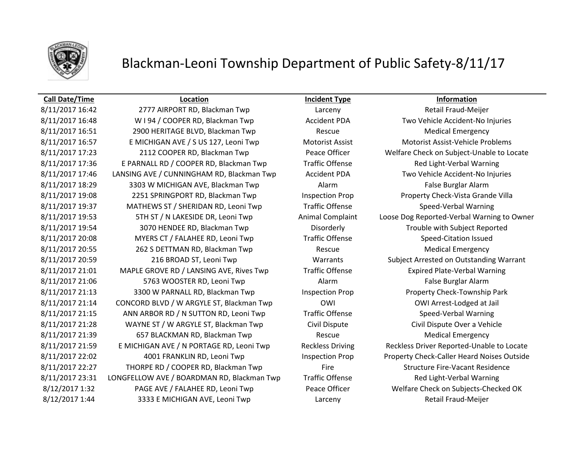

# Blackman-Leoni Township Department of Public Safety-8/11/17

## **Call Date/Time Location Incident Type Information**

8/11/2017 16:42 2777 AIRPORT RD, Blackman Twp Larceny Larceny Retail Fraud-Meijer 8/11/2017 16:48 W I 94 / COOPER RD, Blackman Twp **Accident PDA** Two Vehicle Accident-No Injuries 8/11/2017 16:51 2900 HERITAGE BLVD, Blackman Twp Rescue Rescue Medical Emergency 8/11/2017 16:57 E MICHIGAN AVE / S US 127, Leoni Twp Motorist Assist Motorist Assist Motorist Assist-Vehicle Problems 8/11/2017 17:23 2112 COOPER RD, Blackman Twp Peace Officer Welfare Check on Subject-Unable to Locate 8/11/2017 17:36 E PARNALL RD / COOPER RD, Blackman Twp Traffic Offense Red Light-Verbal Warning 8/11/2017 17:46 LANSING AVE / CUNNINGHAM RD, Blackman Twp Accident PDA Two Vehicle Accident-No Injuries 8/11/2017 18:29 3303 W MICHIGAN AVE, Blackman Twp Alarm Alarm False Burglar Alarm 8/11/2017 19:08 2251 SPRINGPORT RD, Blackman Twp Inspection Prop Property Check-Vista Grande Villa 8/11/2017 19:37 MATHEWS ST / SHERIDAN RD, Leoni Twp Traffic Offense Speed-Verbal Warning 8/11/2017 19:53 5TH ST / N LAKESIDE DR, Leoni Twp Animal Complaint Loose Dog Reported-Verbal Warning to Owner 8/11/2017 19:54 3070 HENDEE RD, Blackman Twp Disorderly Disorderly Trouble with Subject Reported 8/11/2017 20:08 MYERS CT / FALAHEE RD, Leoni Twp Traffic Offense Speed-Citation Issued 8/11/2017 20:55 262 S DETTMAN RD, Blackman Twp Rescue Rescue Medical Emergency 8/11/2017 20:59 216 BROAD ST, Leoni Twp Warrants Subject Arrested on Outstanding Warrant 8/11/2017 21:01 MAPLE GROVE RD / LANSING AVE, Rives Twp Traffic Offense Expired Plate-Verbal Warning 8/11/2017 21:06 5763 WOOSTER RD, Leoni Twp **Alarm** Alarm **False Burglar Alarm** False Burglar Alarm 8/11/2017 21:13 3300 W PARNALL RD, Blackman Twp Inspection Prop Property Check-Township Park 8/11/2017 21:14 CONCORD BLVD / W ARGYLE ST, Blackman Twp **OWI CONCORD OWI Arrest-Lodged at Jail** 8/11/2017 21:15 ANN ARBOR RD / N SUTTON RD, Leoni Twp Traffic Offense Speed-Verbal Warning 8/11/2017 21:28 WAYNE ST / W ARGYLE ST, Blackman Twp Civil Dispute Civil Dispute Civil Dispute Over a Vehicle 8/11/2017 21:39 657 BLACKMAN RD, Blackman Twp Rescue Rescue Medical Emergency 8/11/2017 21:59 E MICHIGAN AVE / N PORTAGE RD, Leoni Twp Reckless Driving Reckless Driver Reported-Unable to Locate 8/11/2017 22:02 4001 FRANKLIN RD, Leoni Twp Inspection Prop Property Check-Caller Heard Noises Outside 8/11/2017 22:27 THORPE RD / COOPER RD, Blackman Twp Fire Structure Fire-Vacant Residence 8/11/2017 23:31 LONGFELLOW AVE / BOARDMAN RD, Blackman Twp Traffic Offense Red Light-Verbal Warning 8/12/2017 1:32 PAGE AVE / FALAHEE RD, Leoni Twp Peace Officer Welfare Check on Subjects-Checked OK 8/12/2017 1:44 3333 E MICHIGAN AVE, Leoni Twp Larceny Larceny Retail Fraud-Meijer